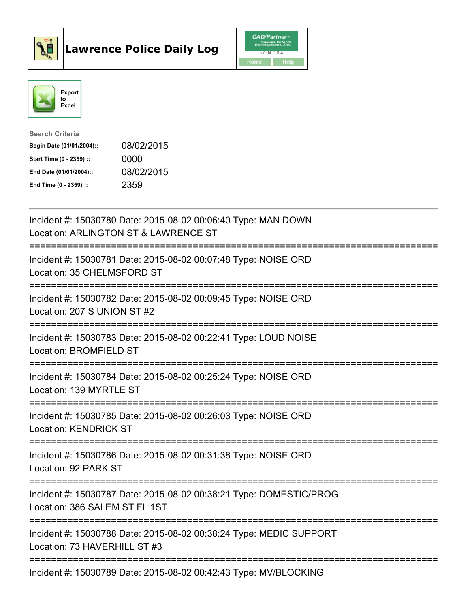



| <b>Search Criteria</b>    |            |
|---------------------------|------------|
| Begin Date (01/01/2004):: | 08/02/2015 |
| Start Time (0 - 2359) ::  | 0000       |
| End Date (01/01/2004)::   | 08/02/2015 |
| End Time $(0 - 2359)$ :   | 2359       |

| Incident #: 15030780 Date: 2015-08-02 00:06:40 Type: MAN DOWN<br>Location: ARLINGTON ST & LAWRENCE ST                              |
|------------------------------------------------------------------------------------------------------------------------------------|
| Incident #: 15030781 Date: 2015-08-02 00:07:48 Type: NOISE ORD<br>Location: 35 CHELMSFORD ST                                       |
| Incident #: 15030782 Date: 2015-08-02 00:09:45 Type: NOISE ORD<br>Location: 207 S UNION ST #2                                      |
| Incident #: 15030783 Date: 2015-08-02 00:22:41 Type: LOUD NOISE<br>Location: BROMFIELD ST                                          |
| Incident #: 15030784 Date: 2015-08-02 00:25:24 Type: NOISE ORD<br>Location: 139 MYRTLE ST                                          |
| Incident #: 15030785 Date: 2015-08-02 00:26:03 Type: NOISE ORD<br><b>Location: KENDRICK ST</b><br>================================ |
| Incident #: 15030786 Date: 2015-08-02 00:31:38 Type: NOISE ORD<br>Location: 92 PARK ST<br>=====================================    |
| Incident #: 15030787 Date: 2015-08-02 00:38:21 Type: DOMESTIC/PROG<br>Location: 386 SALEM ST FL 1ST<br>--------------              |
| Incident #: 15030788 Date: 2015-08-02 00:38:24 Type: MEDIC SUPPORT<br>Location: 73 HAVERHILL ST #3                                 |
| Incident #: 15030789 Date: 2015-08-02 00:42:43 Type: MV/BLOCKING                                                                   |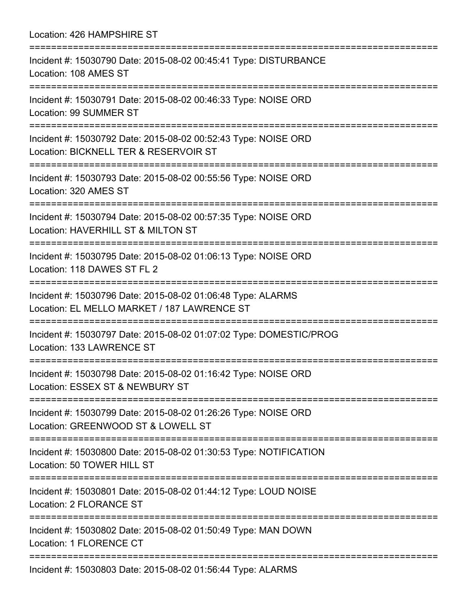Location: 426 HAMPSHIRE ST =========================================================================== Incident #: 15030790 Date: 2015-08-02 00:45:41 Type: DISTURBANCE Location: 108 AMES ST =========================================================================== Incident #: 15030791 Date: 2015-08-02 00:46:33 Type: NOISE ORD Location: 99 SUMMER ST =========================================================================== Incident #: 15030792 Date: 2015-08-02 00:52:43 Type: NOISE ORD Location: BICKNELL TER & RESERVOIR ST =========================================================================== Incident #: 15030793 Date: 2015-08-02 00:55:56 Type: NOISE ORD Location: 320 AMES ST =========================================================================== Incident #: 15030794 Date: 2015-08-02 00:57:35 Type: NOISE ORD Location: HAVERHILL ST & MILTON ST =========================================================================== Incident #: 15030795 Date: 2015-08-02 01:06:13 Type: NOISE ORD Location: 118 DAWES ST FL 2 =========================================================================== Incident #: 15030796 Date: 2015-08-02 01:06:48 Type: ALARMS Location: EL MELLO MARKET / 187 LAWRENCE ST =========================================================================== Incident #: 15030797 Date: 2015-08-02 01:07:02 Type: DOMESTIC/PROG Location: 133 LAWRENCE ST =========================================================================== Incident #: 15030798 Date: 2015-08-02 01:16:42 Type: NOISE ORD Location: ESSEX ST & NEWBURY ST =========================================================================== Incident #: 15030799 Date: 2015-08-02 01:26:26 Type: NOISE ORD Location: GREENWOOD ST & LOWELL ST =========================================================================== Incident #: 15030800 Date: 2015-08-02 01:30:53 Type: NOTIFICATION Location: 50 TOWER HILL ST =========================================================================== Incident #: 15030801 Date: 2015-08-02 01:44:12 Type: LOUD NOISE Location: 2 FLORANCE ST =========================================================================== Incident #: 15030802 Date: 2015-08-02 01:50:49 Type: MAN DOWN Location: 1 FLORENCE CT =========================================================================== Incident #: 15030803 Date: 2015-08-02 01:56:44 Type: ALARMS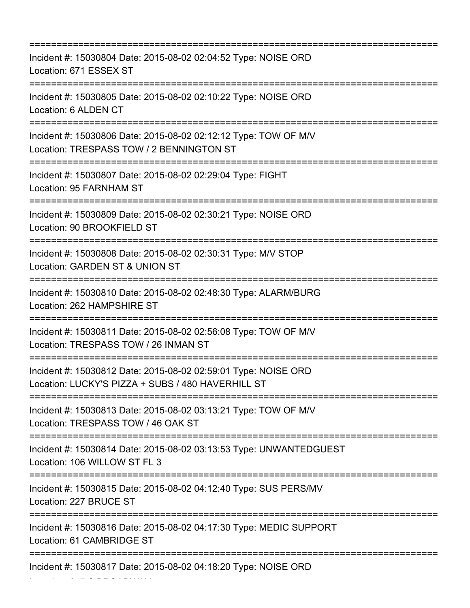| Incident #: 15030804 Date: 2015-08-02 02:04:52 Type: NOISE ORD<br>Location: 671 ESSEX ST<br>--------------------------------                        |
|-----------------------------------------------------------------------------------------------------------------------------------------------------|
| Incident #: 15030805 Date: 2015-08-02 02:10:22 Type: NOISE ORD<br>Location: 6 ALDEN CT                                                              |
| Incident #: 15030806 Date: 2015-08-02 02:12:12 Type: TOW OF M/V<br>Location: TRESPASS TOW / 2 BENNINGTON ST<br>:=====================               |
| Incident #: 15030807 Date: 2015-08-02 02:29:04 Type: FIGHT<br>Location: 95 FARNHAM ST<br>:=============================                             |
| Incident #: 15030809 Date: 2015-08-02 02:30:21 Type: NOISE ORD<br>Location: 90 BROOKFIELD ST<br>==============================                      |
| Incident #: 15030808 Date: 2015-08-02 02:30:31 Type: M/V STOP<br>Location: GARDEN ST & UNION ST                                                     |
| Incident #: 15030810 Date: 2015-08-02 02:48:30 Type: ALARM/BURG<br>Location: 262 HAMPSHIRE ST                                                       |
| Incident #: 15030811 Date: 2015-08-02 02:56:08 Type: TOW OF M/V<br>Location: TRESPASS TOW / 26 INMAN ST                                             |
| :===========================<br>Incident #: 15030812 Date: 2015-08-02 02:59:01 Type: NOISE ORD<br>Location: LUCKY'S PIZZA + SUBS / 480 HAVERHILL ST |
| Incident #: 15030813 Date: 2015-08-02 03:13:21 Type: TOW OF M/V<br>Location: TRESPASS TOW / 46 OAK ST                                               |
| Incident #: 15030814 Date: 2015-08-02 03:13:53 Type: UNWANTEDGUEST<br>Location: 106 WILLOW ST FL 3                                                  |
| ==================================<br>Incident #: 15030815 Date: 2015-08-02 04:12:40 Type: SUS PERS/MV<br>Location: 227 BRUCE ST                    |
| Incident #: 15030816 Date: 2015-08-02 04:17:30 Type: MEDIC SUPPORT<br>Location: 61 CAMBRIDGE ST                                                     |
| Incident #: 15030817 Date: 2015-08-02 04:18:20 Type: NOISE ORD                                                                                      |

Location: 317 S BROADWAY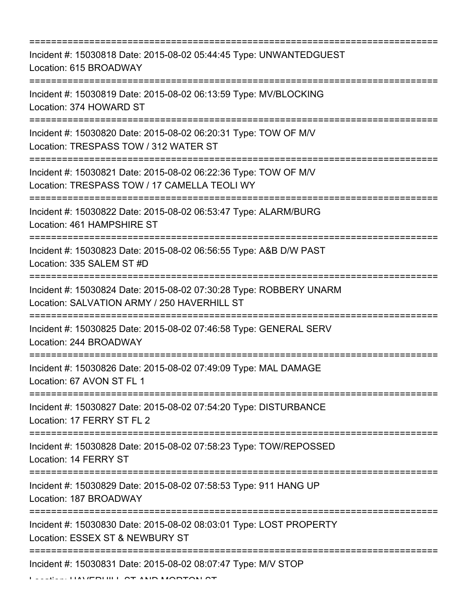=========================================================================== Incident #: 15030818 Date: 2015-08-02 05:44:45 Type: UNWANTEDGUEST Location: 615 BROADWAY =========================================================================== Incident #: 15030819 Date: 2015-08-02 06:13:59 Type: MV/BLOCKING Location: 374 HOWARD ST =========================================================================== Incident #: 15030820 Date: 2015-08-02 06:20:31 Type: TOW OF M/V Location: TRESPASS TOW / 312 WATER ST =========================================================================== Incident #: 15030821 Date: 2015-08-02 06:22:36 Type: TOW OF M/V Location: TRESPASS TOW / 17 CAMELLA TEOLI WY =========================================================================== Incident #: 15030822 Date: 2015-08-02 06:53:47 Type: ALARM/BURG Location: 461 HAMPSHIRE ST =========================================================================== Incident #: 15030823 Date: 2015-08-02 06:56:55 Type: A&B D/W PAST Location: 335 SALEM ST #D =========================================================================== Incident #: 15030824 Date: 2015-08-02 07:30:28 Type: ROBBERY UNARM Location: SALVATION ARMY / 250 HAVERHILL ST =========================================================================== Incident #: 15030825 Date: 2015-08-02 07:46:58 Type: GENERAL SERV Location: 244 BROADWAY =========================================================================== Incident #: 15030826 Date: 2015-08-02 07:49:09 Type: MAL DAMAGE Location: 67 AVON ST FL 1 =========================================================================== Incident #: 15030827 Date: 2015-08-02 07:54:20 Type: DISTURBANCE Location: 17 FERRY ST FL 2 =========================================================================== Incident #: 15030828 Date: 2015-08-02 07:58:23 Type: TOW/REPOSSED Location: 14 FERRY ST =========================================================================== Incident #: 15030829 Date: 2015-08-02 07:58:53 Type: 911 HANG UP Location: 187 BROADWAY =========================================================================== Incident #: 15030830 Date: 2015-08-02 08:03:01 Type: LOST PROPERTY Location: ESSEX ST & NEWBURY ST =========================================================================== Incident #: 15030831 Date: 2015-08-02 08:07:47 Type: M/V STOP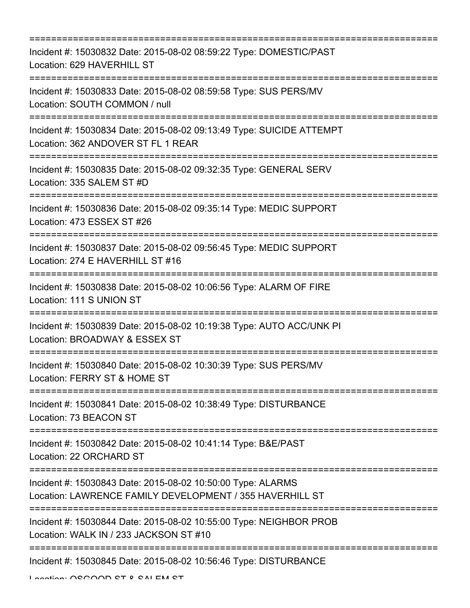| Incident #: 15030832 Date: 2015-08-02 08:59:22 Type: DOMESTIC/PAST<br>Location: 629 HAVERHILL ST<br>=====================     |
|-------------------------------------------------------------------------------------------------------------------------------|
| Incident #: 15030833 Date: 2015-08-02 08:59:58 Type: SUS PERS/MV<br>Location: SOUTH COMMON / null                             |
| Incident #: 15030834 Date: 2015-08-02 09:13:49 Type: SUICIDE ATTEMPT<br>Location: 362 ANDOVER ST FL 1 REAR                    |
| Incident #: 15030835 Date: 2015-08-02 09:32:35 Type: GENERAL SERV<br>Location: 335 SALEM ST #D                                |
| Incident #: 15030836 Date: 2015-08-02 09:35:14 Type: MEDIC SUPPORT<br>Location: 473 ESSEX ST #26                              |
| Incident #: 15030837 Date: 2015-08-02 09:56:45 Type: MEDIC SUPPORT<br>Location: 274 E HAVERHILL ST #16<br>=================== |
| Incident #: 15030838 Date: 2015-08-02 10:06:56 Type: ALARM OF FIRE<br>Location: 111 S UNION ST                                |
| Incident #: 15030839 Date: 2015-08-02 10:19:38 Type: AUTO ACC/UNK PI<br>Location: BROADWAY & ESSEX ST                         |
| Incident #: 15030840 Date: 2015-08-02 10:30:39 Type: SUS PERS/MV<br>Location: FERRY ST & HOME ST                              |
| Incident #: 15030841 Date: 2015-08-02 10:38:49 Type: DISTURBANCE<br>Location: 73 BEACON ST                                    |
| Incident #: 15030842 Date: 2015-08-02 10:41:14 Type: B&E/PAST<br>Location: 22 ORCHARD ST                                      |
| Incident #: 15030843 Date: 2015-08-02 10:50:00 Type: ALARMS<br>Location: LAWRENCE FAMILY DEVELOPMENT / 355 HAVERHILL ST       |
| Incident #: 15030844 Date: 2015-08-02 10:55:00 Type: NEIGHBOR PROB<br>Location: WALK IN / 233 JACKSON ST #10                  |
| Incident #: 15030845 Date: 2015-08-02 10:56:46 Type: DISTURBANCE                                                              |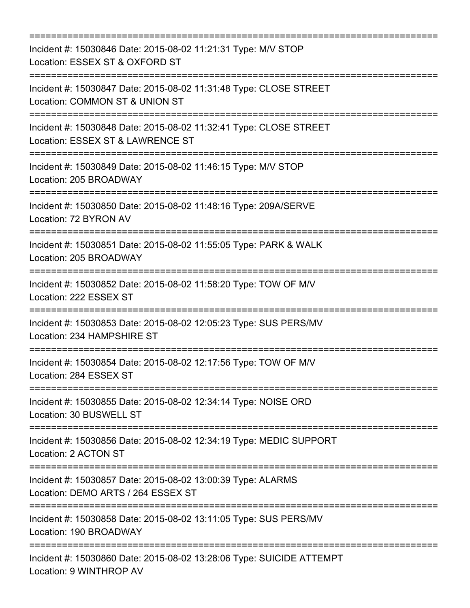=========================================================================== Incident #: 15030846 Date: 2015-08-02 11:21:31 Type: M/V STOP Location: ESSEX ST & OXFORD ST =========================================================================== Incident #: 15030847 Date: 2015-08-02 11:31:48 Type: CLOSE STREET Location: COMMON ST & UNION ST =========================================================================== Incident #: 15030848 Date: 2015-08-02 11:32:41 Type: CLOSE STREET Location: ESSEX ST & LAWRENCE ST =========================================================================== Incident #: 15030849 Date: 2015-08-02 11:46:15 Type: M/V STOP Location: 205 BROADWAY =========================================================================== Incident #: 15030850 Date: 2015-08-02 11:48:16 Type: 209A/SERVE Location: 72 BYRON AV =========================================================================== Incident #: 15030851 Date: 2015-08-02 11:55:05 Type: PARK & WALK Location: 205 BROADWAY =========================================================================== Incident #: 15030852 Date: 2015-08-02 11:58:20 Type: TOW OF M/V Location: 222 ESSEX ST =========================================================================== Incident #: 15030853 Date: 2015-08-02 12:05:23 Type: SUS PERS/MV Location: 234 HAMPSHIRE ST =========================================================================== Incident #: 15030854 Date: 2015-08-02 12:17:56 Type: TOW OF M/V Location: 284 ESSEX ST =========================================================================== Incident #: 15030855 Date: 2015-08-02 12:34:14 Type: NOISE ORD Location: 30 BUSWELL ST =========================================================================== Incident #: 15030856 Date: 2015-08-02 12:34:19 Type: MEDIC SUPPORT Location: 2 ACTON ST =========================================================================== Incident #: 15030857 Date: 2015-08-02 13:00:39 Type: ALARMS Location: DEMO ARTS / 264 ESSEX ST =========================================================================== Incident #: 15030858 Date: 2015-08-02 13:11:05 Type: SUS PERS/MV Location: 190 BROADWAY =========================================================================== Incident #: 15030860 Date: 2015-08-02 13:28:06 Type: SUICIDE ATTEMPT Location: 9 WINTHROP AV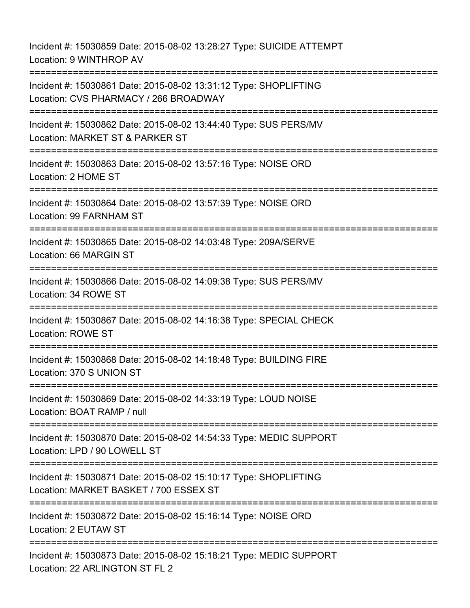Incident #: 15030859 Date: 2015-08-02 13:28:27 Type: SUICIDE ATTEMPT Location: 9 WINTHROP AV =========================================================================== Incident #: 15030861 Date: 2015-08-02 13:31:12 Type: SHOPLIFTING Location: CVS PHARMACY / 266 BROADWAY =========================================================================== Incident #: 15030862 Date: 2015-08-02 13:44:40 Type: SUS PERS/MV Location: MARKET ST & PARKER ST =========================================================================== Incident #: 15030863 Date: 2015-08-02 13:57:16 Type: NOISE ORD Location: 2 HOME ST =========================================================================== Incident #: 15030864 Date: 2015-08-02 13:57:39 Type: NOISE ORD Location: 99 FARNHAM ST =========================================================================== Incident #: 15030865 Date: 2015-08-02 14:03:48 Type: 209A/SERVE Location: 66 MARGIN ST =========================================================================== Incident #: 15030866 Date: 2015-08-02 14:09:38 Type: SUS PERS/MV Location: 34 ROWE ST =========================================================================== Incident #: 15030867 Date: 2015-08-02 14:16:38 Type: SPECIAL CHECK Location: ROWE ST =========================================================================== Incident #: 15030868 Date: 2015-08-02 14:18:48 Type: BUILDING FIRE Location: 370 S UNION ST =========================================================================== Incident #: 15030869 Date: 2015-08-02 14:33:19 Type: LOUD NOISE Location: BOAT RAMP / null =========================================================================== Incident #: 15030870 Date: 2015-08-02 14:54:33 Type: MEDIC SUPPORT Location: LPD / 90 LOWELL ST =========================================================================== Incident #: 15030871 Date: 2015-08-02 15:10:17 Type: SHOPLIFTING Location: MARKET BASKET / 700 ESSEX ST =========================================================================== Incident #: 15030872 Date: 2015-08-02 15:16:14 Type: NOISE ORD Location: 2 EUTAW ST ============================ Incident #: 15030873 Date: 2015-08-02 15:18:21 Type: MEDIC SUPPORT Location: 22 ARLINGTON ST FL 2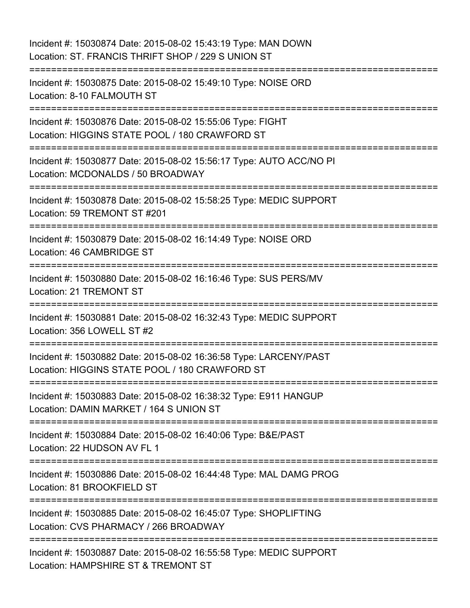Incident #: 15030874 Date: 2015-08-02 15:43:19 Type: MAN DOWN Location: ST. FRANCIS THRIFT SHOP / 229 S UNION ST =========================================================================== Incident #: 15030875 Date: 2015-08-02 15:49:10 Type: NOISE ORD Location: 8-10 FALMOUTH ST =========================================================================== Incident #: 15030876 Date: 2015-08-02 15:55:06 Type: FIGHT Location: HIGGINS STATE POOL / 180 CRAWFORD ST =========================================================================== Incident #: 15030877 Date: 2015-08-02 15:56:17 Type: AUTO ACC/NO PI Location: MCDONALDS / 50 BROADWAY =========================================================================== Incident #: 15030878 Date: 2015-08-02 15:58:25 Type: MEDIC SUPPORT Location: 59 TREMONT ST #201 =========================================================================== Incident #: 15030879 Date: 2015-08-02 16:14:49 Type: NOISE ORD Location: 46 CAMBRIDGE ST =========================================================================== Incident #: 15030880 Date: 2015-08-02 16:16:46 Type: SUS PERS/MV Location: 21 TREMONT ST =========================================================================== Incident #: 15030881 Date: 2015-08-02 16:32:43 Type: MEDIC SUPPORT Location: 356 LOWELL ST #2 =========================================================================== Incident #: 15030882 Date: 2015-08-02 16:36:58 Type: LARCENY/PAST Location: HIGGINS STATE POOL / 180 CRAWFORD ST =========================================================================== Incident #: 15030883 Date: 2015-08-02 16:38:32 Type: E911 HANGUP Location: DAMIN MARKET / 164 S UNION ST =========================================================================== Incident #: 15030884 Date: 2015-08-02 16:40:06 Type: B&E/PAST Location: 22 HUDSON AV FL 1 =========================================================================== Incident #: 15030886 Date: 2015-08-02 16:44:48 Type: MAL DAMG PROG Location: 81 BROOKFIELD ST =========================================================================== Incident #: 15030885 Date: 2015-08-02 16:45:07 Type: SHOPLIFTING Location: CVS PHARMACY / 266 BROADWAY =========================================================================== Incident #: 15030887 Date: 2015-08-02 16:55:58 Type: MEDIC SUPPORT Location: HAMPSHIRE ST & TREMONT ST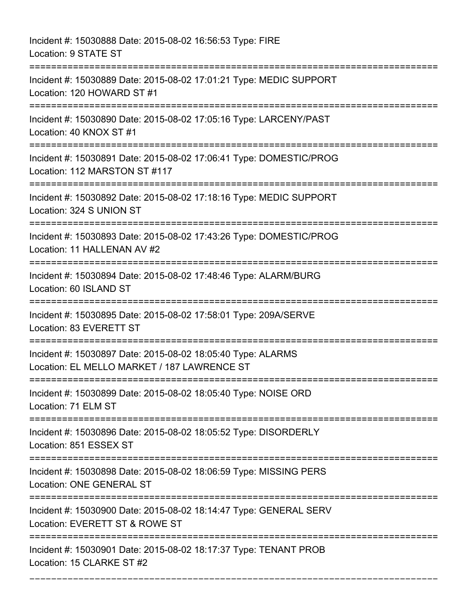Incident #: 15030888 Date: 2015-08-02 16:56:53 Type: FIRE Location: 9 STATE ST =========================================================================== Incident #: 15030889 Date: 2015-08-02 17:01:21 Type: MEDIC SUPPORT Location: 120 HOWARD ST #1 =========================================================================== Incident #: 15030890 Date: 2015-08-02 17:05:16 Type: LARCENY/PAST Location: 40 KNOX ST #1 =========================================================================== Incident #: 15030891 Date: 2015-08-02 17:06:41 Type: DOMESTIC/PROG Location: 112 MARSTON ST #117 =========================================================================== Incident #: 15030892 Date: 2015-08-02 17:18:16 Type: MEDIC SUPPORT Location: 324 S UNION ST =========================================================================== Incident #: 15030893 Date: 2015-08-02 17:43:26 Type: DOMESTIC/PROG Location: 11 HALLENAN AV #2 =========================================================================== Incident #: 15030894 Date: 2015-08-02 17:48:46 Type: ALARM/BURG Location: 60 ISLAND ST =========================================================================== Incident #: 15030895 Date: 2015-08-02 17:58:01 Type: 209A/SERVE Location: 83 EVERETT ST =========================================================================== Incident #: 15030897 Date: 2015-08-02 18:05:40 Type: ALARMS Location: EL MELLO MARKET / 187 LAWRENCE ST =========================================================================== Incident #: 15030899 Date: 2015-08-02 18:05:40 Type: NOISE ORD Location: 71 ELM ST =========================================================================== Incident #: 15030896 Date: 2015-08-02 18:05:52 Type: DISORDERLY Location: 851 ESSEX ST =========================================================================== Incident #: 15030898 Date: 2015-08-02 18:06:59 Type: MISSING PERS Location: ONE GENERAL ST =========================================================================== Incident #: 15030900 Date: 2015-08-02 18:14:47 Type: GENERAL SERV Location: EVERETT ST & ROWE ST =========================================================================== Incident #: 15030901 Date: 2015-08-02 18:17:37 Type: TENANT PROB Location: 15 CLARKE ST #2

===========================================================================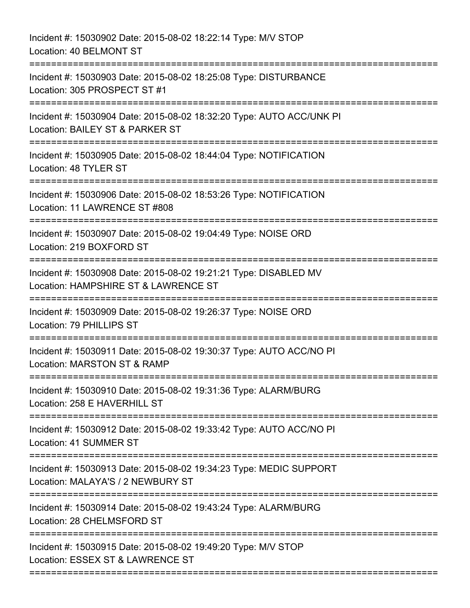Incident #: 15030902 Date: 2015-08-02 18:22:14 Type: M/V STOP Location: 40 BELMONT ST =========================================================================== Incident #: 15030903 Date: 2015-08-02 18:25:08 Type: DISTURBANCE Location: 305 PROSPECT ST #1 =========================================================================== Incident #: 15030904 Date: 2015-08-02 18:32:20 Type: AUTO ACC/UNK PI Location: BAILEY ST & PARKER ST =========================================================================== Incident #: 15030905 Date: 2015-08-02 18:44:04 Type: NOTIFICATION Location: 48 TYLER ST =========================================================================== Incident #: 15030906 Date: 2015-08-02 18:53:26 Type: NOTIFICATION Location: 11 LAWRENCE ST #808 =========================================================================== Incident #: 15030907 Date: 2015-08-02 19:04:49 Type: NOISE ORD Location: 219 BOXFORD ST =========================================================================== Incident #: 15030908 Date: 2015-08-02 19:21:21 Type: DISABLED MV Location: HAMPSHIRE ST & LAWRENCE ST =========================================================================== Incident #: 15030909 Date: 2015-08-02 19:26:37 Type: NOISE ORD Location: 79 PHILLIPS ST =========================================================================== Incident #: 15030911 Date: 2015-08-02 19:30:37 Type: AUTO ACC/NO PI Location: MARSTON ST & RAMP =========================================================================== Incident #: 15030910 Date: 2015-08-02 19:31:36 Type: ALARM/BURG Location: 258 F HAVERHILL ST =========================================================================== Incident #: 15030912 Date: 2015-08-02 19:33:42 Type: AUTO ACC/NO PI Location: 41 SUMMER ST =========================================================================== Incident #: 15030913 Date: 2015-08-02 19:34:23 Type: MEDIC SUPPORT Location: MALAYA'S / 2 NEWBURY ST =========================================================================== Incident #: 15030914 Date: 2015-08-02 19:43:24 Type: ALARM/BURG Location: 28 CHELMSFORD ST =========================================================================== Incident #: 15030915 Date: 2015-08-02 19:49:20 Type: M/V STOP Location: ESSEX ST & LAWRENCE ST ===========================================================================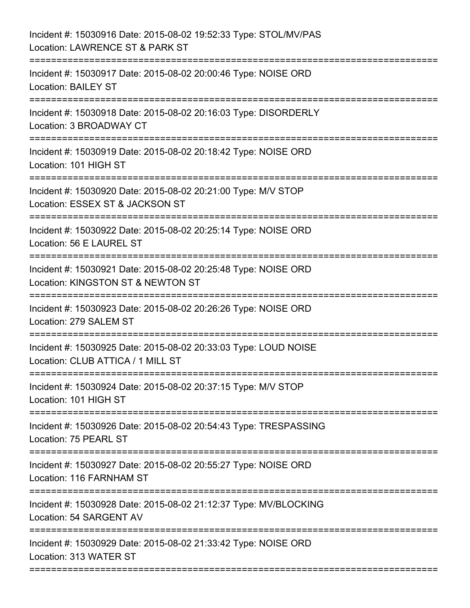| Incident #: 15030916 Date: 2015-08-02 19:52:33 Type: STOL/MV/PAS<br>Location: LAWRENCE ST & PARK ST                                |
|------------------------------------------------------------------------------------------------------------------------------------|
| Incident #: 15030917 Date: 2015-08-02 20:00:46 Type: NOISE ORD<br><b>Location: BAILEY ST</b><br>=====================              |
| Incident #: 15030918 Date: 2015-08-02 20:16:03 Type: DISORDERLY<br>Location: 3 BROADWAY CT<br>;=================================== |
| Incident #: 15030919 Date: 2015-08-02 20:18:42 Type: NOISE ORD<br>Location: 101 HIGH ST                                            |
| Incident #: 15030920 Date: 2015-08-02 20:21:00 Type: M/V STOP<br>Location: ESSEX ST & JACKSON ST                                   |
| Incident #: 15030922 Date: 2015-08-02 20:25:14 Type: NOISE ORD<br>Location: 56 E LAUREL ST                                         |
| Incident #: 15030921 Date: 2015-08-02 20:25:48 Type: NOISE ORD<br>Location: KINGSTON ST & NEWTON ST<br>;=======================    |
| Incident #: 15030923 Date: 2015-08-02 20:26:26 Type: NOISE ORD<br>Location: 279 SALEM ST                                           |
| Incident #: 15030925 Date: 2015-08-02 20:33:03 Type: LOUD NOISE<br>Location: CLUB ATTICA / 1 MILL ST                               |
| Incident #: 15030924 Date: 2015-08-02 20:37:15 Type: M/V STOP<br>Location: 101 HIGH ST                                             |
| Incident #: 15030926 Date: 2015-08-02 20:54:43 Type: TRESPASSING<br>Location: 75 PEARL ST                                          |
| Incident #: 15030927 Date: 2015-08-02 20:55:27 Type: NOISE ORD<br>Location: 116 FARNHAM ST                                         |
| Incident #: 15030928 Date: 2015-08-02 21:12:37 Type: MV/BLOCKING<br>Location: 54 SARGENT AV                                        |
| Incident #: 15030929 Date: 2015-08-02 21:33:42 Type: NOISE ORD<br>Location: 313 WATER ST                                           |
|                                                                                                                                    |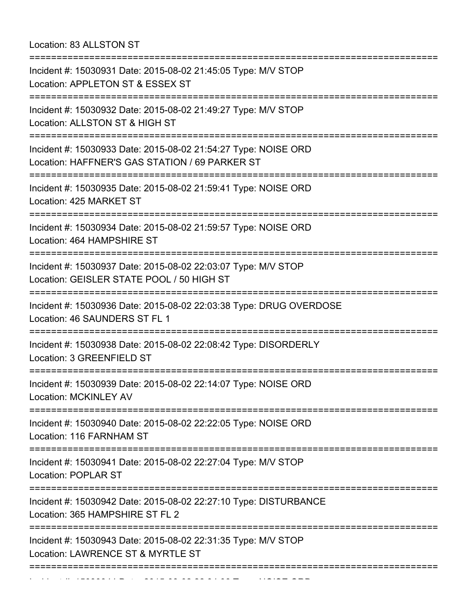Location: 83 ALLSTON ST

| Incident #: 15030931 Date: 2015-08-02 21:45:05 Type: M/V STOP<br>Location: APPLETON ST & ESSEX ST                             |
|-------------------------------------------------------------------------------------------------------------------------------|
| Incident #: 15030932 Date: 2015-08-02 21:49:27 Type: M/V STOP<br>Location: ALLSTON ST & HIGH ST                               |
| Incident #: 15030933 Date: 2015-08-02 21:54:27 Type: NOISE ORD<br>Location: HAFFNER'S GAS STATION / 69 PARKER ST              |
| Incident #: 15030935 Date: 2015-08-02 21:59:41 Type: NOISE ORD<br>Location: 425 MARKET ST                                     |
| Incident #: 15030934 Date: 2015-08-02 21:59:57 Type: NOISE ORD<br>Location: 464 HAMPSHIRE ST                                  |
| Incident #: 15030937 Date: 2015-08-02 22:03:07 Type: M/V STOP<br>Location: GEISLER STATE POOL / 50 HIGH ST                    |
| Incident #: 15030936 Date: 2015-08-02 22:03:38 Type: DRUG OVERDOSE<br>Location: 46 SAUNDERS ST FL 1                           |
| Incident #: 15030938 Date: 2015-08-02 22:08:42 Type: DISORDERLY<br>Location: 3 GREENFIELD ST                                  |
| Incident #: 15030939 Date: 2015-08-02 22:14:07 Type: NOISE ORD<br>Location: MCKINLEY AV                                       |
| ===============================<br>Incident #: 15030940 Date: 2015-08-02 22:22:05 Type: NOISE ORD<br>Location: 116 FARNHAM ST |
| Incident #: 15030941 Date: 2015-08-02 22:27:04 Type: M/V STOP<br><b>Location: POPLAR ST</b>                                   |
| Incident #: 15030942 Date: 2015-08-02 22:27:10 Type: DISTURBANCE<br>Location: 365 HAMPSHIRE ST FL 2                           |
| Incident #: 15030943 Date: 2015-08-02 22:31:35 Type: M/V STOP<br>Location: LAWRENCE ST & MYRTLE ST                            |
|                                                                                                                               |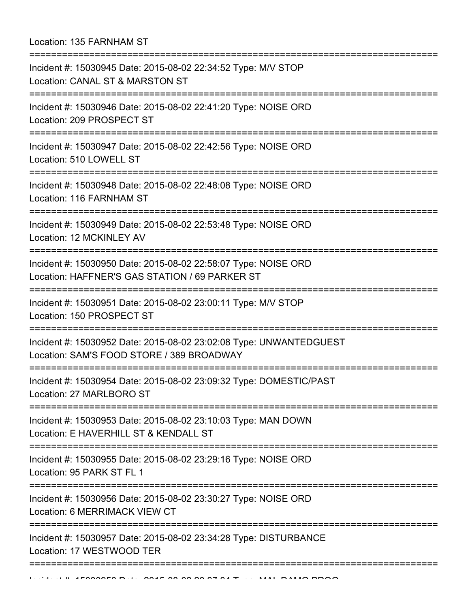|  | Location: 135 FARNHAM ST |  |
|--|--------------------------|--|
|  |                          |  |

| Incident #: 15030945 Date: 2015-08-02 22:34:52 Type: M/V STOP<br>Location: CANAL ST & MARSTON ST<br>:============================                    |
|------------------------------------------------------------------------------------------------------------------------------------------------------|
| Incident #: 15030946 Date: 2015-08-02 22:41:20 Type: NOISE ORD<br>Location: 209 PROSPECT ST                                                          |
| Incident #: 15030947 Date: 2015-08-02 22:42:56 Type: NOISE ORD<br>Location: 510 LOWELL ST                                                            |
| Incident #: 15030948 Date: 2015-08-02 22:48:08 Type: NOISE ORD<br>Location: 116 FARNHAM ST                                                           |
| Incident #: 15030949 Date: 2015-08-02 22:53:48 Type: NOISE ORD<br>Location: 12 MCKINLEY AV                                                           |
| Incident #: 15030950 Date: 2015-08-02 22:58:07 Type: NOISE ORD<br>Location: HAFFNER'S GAS STATION / 69 PARKER ST                                     |
| Incident #: 15030951 Date: 2015-08-02 23:00:11 Type: M/V STOP<br>Location: 150 PROSPECT ST                                                           |
| Incident #: 15030952 Date: 2015-08-02 23:02:08 Type: UNWANTEDGUEST<br>Location: SAM'S FOOD STORE / 389 BROADWAY<br>================================= |
| Incident #: 15030954 Date: 2015-08-02 23:09:32 Type: DOMESTIC/PAST<br>Location: 27 MARLBORO ST                                                       |
| Incident #: 15030953 Date: 2015-08-02 23:10:03 Type: MAN DOWN<br>Location: E HAVERHILL ST & KENDALL ST                                               |
| Incident #: 15030955 Date: 2015-08-02 23:29:16 Type: NOISE ORD<br>Location: 95 PARK ST FL 1                                                          |
| Incident #: 15030956 Date: 2015-08-02 23:30:27 Type: NOISE ORD<br>Location: 6 MERRIMACK VIEW CT                                                      |
| Incident #: 15030957 Date: 2015-08-02 23:34:28 Type: DISTURBANCE<br>Location: 17 WESTWOOD TER                                                        |
|                                                                                                                                                      |